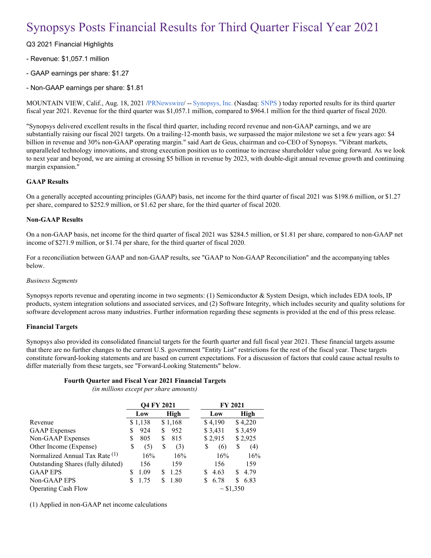# Synopsys Posts Financial Results for Third Quarter Fiscal Year 2021

# Q3 2021 Financial Highlights

- Revenue: \$1,057.1 million
- GAAP earnings per share: \$1.27
- Non-GAAP earnings per share: \$1.81

MOUNTAIN VIEW, Calif., Aug. 18, 2021 [/PRNewswire/](http://www.prnewswire.com/) -- [Synopsys,](https://c212.net/c/link/?t=0&l=en&o=3263059-1&h=4054096898&u=https%3A%2F%2Fwww.synopsys.com%2F&a=Synopsys%2C+Inc.) Inc. (Nasdaq: [SNPS](https://c212.net/c/link/?t=0&l=en&o=3263059-1&h=1441490218&u=https%3A%2F%2Fwww.synopsys.com%2Fcompany%2Finvestor-relations.html&a=SNPS) ) today reported results for its third quarter fiscal year 2021. Revenue for the third quarter was \$1,057.1 million, compared to \$964.1 million for the third quarter of fiscal 2020.

"Synopsys delivered excellent results in the fiscal third quarter, including record revenue and non-GAAP earnings, and we are substantially raising our fiscal 2021 targets. On a trailing-12-month basis, we surpassed the major milestone we set a few years ago: \$4 billion in revenue and 30% non-GAAP operating margin." said Aart de Geus, chairman and co-CEO of Synopsys. "Vibrant markets, unparalleled technology innovations, and strong execution position us to continue to increase shareholder value going forward. As we look to next year and beyond, we are aiming at crossing \$5 billion in revenue by 2023, with double-digit annual revenue growth and continuing margin expansion."

## **GAAP Results**

On a generally accepted accounting principles (GAAP) basis, net income for the third quarter of fiscal 2021 was \$198.6 million, or \$1.27 per share, compared to \$252.9 million, or \$1.62 per share, for the third quarter of fiscal 2020.

### **Non-GAAP Results**

On a non-GAAP basis, net income for the third quarter of fiscal 2021 was \$284.5 million, or \$1.81 per share, compared to non-GAAP net income of \$271.9 million, or \$1.74 per share, for the third quarter of fiscal 2020.

For a reconciliation between GAAP and non-GAAP results, see "GAAP to Non-GAAP Reconciliation" and the accompanying tables below.

### *Business Segments*

Synopsys reports revenue and operating income in two segments: (1) Semiconductor & System Design, which includes EDA tools, IP products, system integration solutions and associated services, and (2) Software Integrity, which includes security and quality solutions for software development across many industries. Further information regarding these segments is provided at the end of this press release.

### **Financial Targets**

Synopsys also provided its consolidated financial targets for the fourth quarter and full fiscal year 2021. These financial targets assume that there are no further changes to the current U.S. government "Entity List" restrictions for the rest of the fiscal year. These targets constitute forward-looking statements and are based on current expectations. For a discussion of factors that could cause actual results to differ materially from these targets, see "Forward-Looking Statements" below.

### **Fourth Quarter and Fiscal Year 2021 Financial Targets**

*(in millions except per share amounts)*

|                                           | <b>O4 FY 2021</b> |         |   |         |    | <b>FY 2021</b> |    |                   |  |  |
|-------------------------------------------|-------------------|---------|---|---------|----|----------------|----|-------------------|--|--|
|                                           |                   | Low     |   | High    |    | Low            |    | High              |  |  |
| Revenue                                   |                   | \$1,138 |   | \$1,168 |    | \$4,190        |    | \$4,220           |  |  |
| <b>GAAP</b> Expenses                      | S                 | 924     | S | 952     |    | \$3,431        |    | \$3,459           |  |  |
| Non-GAAP Expenses                         | S                 | 805     | S | 815     |    | \$2,915        |    | \$2,925           |  |  |
| Other Income (Expense)                    | \$                | (5)     | S | (3)     | \$ | (6)            | \$ | $\left( 4\right)$ |  |  |
| Normalized Annual Tax Rate <sup>(1)</sup> |                   | 16%     |   | 16%     |    | 16%            |    | 16%               |  |  |
| Outstanding Shares (fully diluted)        |                   | 156     |   | 159     |    | 156            |    | 159               |  |  |
| <b>GAAP EPS</b>                           | S                 | 1.09    | S | 1.25    | S  | 4.63           | S  | 4.79              |  |  |
| Non-GAAP EPS                              | S                 | 1.75    | S | 1.80    | S. | 6.78           | S  | 6.83              |  |  |
| <b>Operating Cash Flow</b>                |                   |         |   |         |    | $\sim$ \$1,350 |    |                   |  |  |

(1) Applied in non-GAAP net income calculations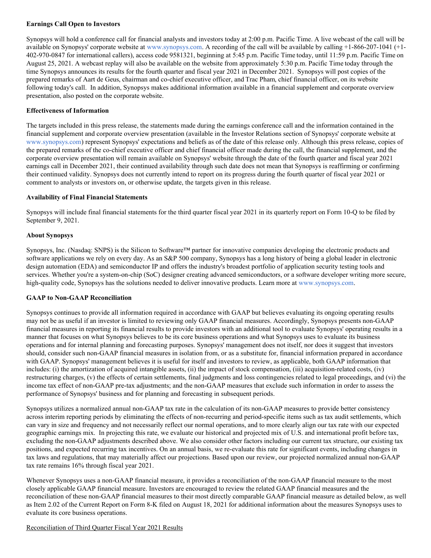## **Earnings Call Open to Investors**

Synopsys will hold a conference call for financial analysts and investors today at 2:00 p.m. Pacific Time. A live webcast of the call will be available on Synopsys' corporate website at [www.synopsys.com.](http://www.synopsys.com) A recording of the call will be available by calling +1-866-207-1041 (+1- 402-970-0847 for international callers), access code 9581321, beginning at 5:45 p.m. Pacific Time today, until 11:59 p.m. Pacific Time on August 25, 2021. A webcast replay will also be available on the website from approximately 5:30 p.m. Pacific Time today through the time Synopsys announces its results for the fourth quarter and fiscal year 2021 in December 2021. Synopsys will post copies of the prepared remarks of Aart de Geus, chairman and co-chief executive officer, and Trac Pham, chief financial officer, on its website following today's call. In addition, Synopsys makes additional information available in a financial supplement and corporate overview presentation, also posted on the corporate website.

## **Effectiveness of Information**

The targets included in this press release, the statements made during the earnings conference call and the information contained in the financial supplement and corporate overview presentation (available in the Investor Relations section of Synopsys' corporate website at [www.synopsys.com](http://www.synopsys.com)) represent Synopsys' expectations and beliefs as of the date of this release only. Although this press release, copies of the prepared remarks of the co-chief executive officer and chief financial officer made during the call, the financial supplement, and the corporate overview presentation will remain available on Synopsys' website through the date of the fourth quarter and fiscal year 2021 earnings call in December 2021, their continued availability through such date does not mean that Synopsys is reaffirming or confirming their continued validity. Synopsys does not currently intend to report on its progress during the fourth quarter of fiscal year 2021 or comment to analysts or investors on, or otherwise update, the targets given in this release.

## **Availability of Final Financial Statements**

Synopsys will include final financial statements for the third quarter fiscal year 2021 in its quarterly report on Form 10-Q to be filed by September 9, 2021.

## **About Synopsys**

Synopsys, Inc. (Nasdaq: SNPS) is the Silicon to Software™ partner for innovative companies developing the electronic products and software applications we rely on every day. As an S&P 500 company, Synopsys has a long history of being a global leader in electronic design automation (EDA) and semiconductor IP and offers the industry's broadest portfolio of application security testing tools and services. Whether you're a system-on-chip (SoC) designer creating advanced semiconductors, or a software developer writing more secure, high-quality code, Synopsys has the solutions needed to deliver innovative products. Learn more at [www.synopsys.com](https://c212.net/c/link/?t=0&l=en&o=3263059-1&h=2803679703&u=http%3A%2F%2Fwww.synopsys.com%2F&a=www.synopsys.com).

## **GAAP to Non-GAAP Reconciliation**

Synopsys continues to provide all information required in accordance with GAAP but believes evaluating its ongoing operating results may not be as useful if an investor is limited to reviewing only GAAP financial measures. Accordingly, Synopsys presents non-GAAP financial measures in reporting its financial results to provide investors with an additional tool to evaluate Synopsys' operating results in a manner that focuses on what Synopsys believes to be its core business operations and what Synopsys uses to evaluate its business operations and for internal planning and forecasting purposes. Synopsys' management does not itself, nor does it suggest that investors should, consider such non-GAAP financial measures in isolation from, or as a substitute for, financial information prepared in accordance with GAAP. Synopsys' management believes it is useful for itself and investors to review, as applicable, both GAAP information that includes: (i) the amortization of acquired intangible assets, (ii) the impact of stock compensation, (iii) acquisition-related costs, (iv) restructuring charges, (v) the effects of certain settlements, final judgments and loss contingencies related to legal proceedings, and (vi) the income tax effect of non-GAAP pre-tax adjustments; and the non-GAAP measures that exclude such information in order to assess the performance of Synopsys' business and for planning and forecasting in subsequent periods.

Synopsys utilizes a normalized annual non-GAAP tax rate in the calculation of its non-GAAP measures to provide better consistency across interim reporting periods by eliminating the effects of non-recurring and period-specific items such as tax audit settlements, which can vary in size and frequency and not necessarily reflect our normal operations, and to more clearly align our tax rate with our expected geographic earnings mix. In projecting this rate, we evaluate our historical and projected mix of U.S. and international profit before tax, excluding the non-GAAP adjustments described above. We also consider other factors including our current tax structure, our existing tax positions, and expected recurring tax incentives. On an annual basis, we re-evaluate this rate for significant events, including changes in tax laws and regulations, that may materially affect our projections. Based upon our review, our projected normalized annual non-GAAP tax rate remains 16% through fiscal year 2021.

Whenever Synopsys uses a non-GAAP financial measure, it provides a reconciliation of the non-GAAP financial measure to the most closely applicable GAAP financial measure. Investors are encouraged to review the related GAAP financial measures and the reconciliation of these non-GAAP financial measures to their most directly comparable GAAP financial measure as detailed below, as well as Item 2.02 of the Current Report on Form 8-K filed on August 18, 2021 for additional information about the measures Synopsys uses to evaluate its core business operations.

## Reconciliation of Third Quarter Fiscal Year 2021 Results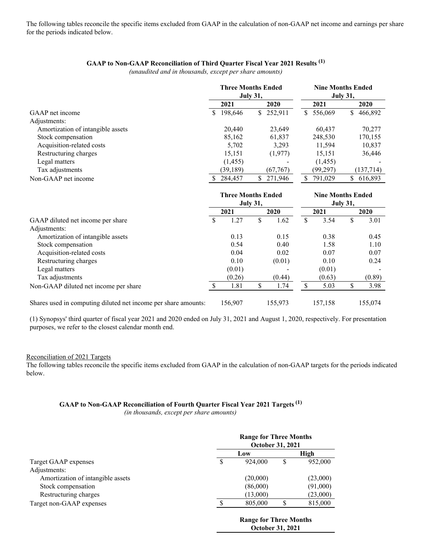The following tables reconcile the specific items excluded from GAAP in the calculation of non-GAAP net income and earnings per share for the periods indicated below.

# **GAAP to Non-GAAP Reconciliation of Third Quarter Fiscal Year 2021 Results (1)**

*(unaudited and in thousands, except per share amounts)*

|                                   |               | <b>Three Months Ended</b><br><b>July 31,</b> |               | <b>Nine Months Ended</b><br><b>July 31,</b> |
|-----------------------------------|---------------|----------------------------------------------|---------------|---------------------------------------------|
|                                   | 2021          | 2020                                         | 2021          | 2020                                        |
| GAAP net income                   | 198,646<br>S. | \$252,911                                    | 556,069<br>S. | 466,892<br><sup>S</sup>                     |
| Adjustments:                      |               |                                              |               |                                             |
| Amortization of intangible assets | 20,440        | 23,649                                       | 60,437        | 70,277                                      |
| Stock compensation                | 85,162        | 61,837                                       | 248,530       | 170,155                                     |
| Acquisition-related costs         | 5,702         | 3,293                                        | 11,594        | 10,837                                      |
| Restructuring charges             | 15,151        | (1,977)                                      | 15,151        | 36,446                                      |
| Legal matters                     | (1,455)       |                                              | (1,455)       |                                             |
| Tax adjustments                   | (39, 189)     | (67, 767)                                    | (99,297)      | (137, 714)                                  |
| Non-GAAP net income               | 284.457<br>\$ | \$<br>271,946                                | 791,029<br>S. | 616,893<br>S                                |

|                                                                |   | <b>Three Months Ended</b><br><b>July 31,</b> |    |         |    | <b>Nine Months Ended</b><br><b>July 31,</b> |     |         |  |
|----------------------------------------------------------------|---|----------------------------------------------|----|---------|----|---------------------------------------------|-----|---------|--|
|                                                                |   | 2021                                         |    | 2020    |    | 2021                                        |     | 2020    |  |
| GAAP diluted net income per share                              | S | 1.27                                         | \$ | 1.62    | \$ | 3.54                                        | S   | 3.01    |  |
| Adjustments:                                                   |   |                                              |    |         |    |                                             |     |         |  |
| Amortization of intangible assets                              |   | 0.13                                         |    | 0.15    |    | 0.38                                        |     | 0.45    |  |
| Stock compensation                                             |   | 0.54                                         |    | 0.40    |    | 1.58                                        |     | 1.10    |  |
| Acquisition-related costs                                      |   | 0.04                                         |    | 0.02    |    | 0.07                                        |     | 0.07    |  |
| Restructuring charges                                          |   | 0.10                                         |    | (0.01)  |    | 0.10                                        |     | 0.24    |  |
| Legal matters                                                  |   | (0.01)                                       |    |         |    | (0.01)                                      |     |         |  |
| Tax adjustments                                                |   | (0.26)                                       |    | (0.44)  |    | (0.63)                                      |     | (0.89)  |  |
| Non-GAAP diluted net income per share                          | S | 1.81                                         | \$ | 1.74    | \$ | 5.03                                        | \$. | 3.98    |  |
| Shares used in computing diluted net income per share amounts: |   | 156.907                                      |    | 155.973 |    | 157.158                                     |     | 155,074 |  |

(1) Synopsys' third quarter of fiscal year 2021 and 2020 ended on July 31, 2021 and August 1, 2020, respectively. For presentation purposes, we refer to the closest calendar month end.

# Reconciliation of 2021 Targets

The following tables reconcile the specific items excluded from GAAP in the calculation of non-GAAP targets for the periods indicated below.

# **GAAP to Non-GAAP Reconciliation of Fourth Quarter Fiscal Year 2021 Targets (1)**

*(in thousands, except per share amounts)*

|                                   |   | <b>Range for Three Months</b><br>October 31, 2021 |    |          |  |  |  |
|-----------------------------------|---|---------------------------------------------------|----|----------|--|--|--|
|                                   |   | Low                                               |    | High     |  |  |  |
| Target GAAP expenses              | S | 924,000                                           | \$ | 952,000  |  |  |  |
| Adjustments:                      |   |                                                   |    |          |  |  |  |
| Amortization of intangible assets |   | (20,000)                                          |    | (23,000) |  |  |  |
| Stock compensation                |   | (86,000)                                          |    | (91,000) |  |  |  |
| Restructuring charges             |   | (13,000)                                          |    | (23,000) |  |  |  |
| Target non-GAAP expenses          |   | 805,000                                           | S  | 815,000  |  |  |  |
|                                   |   |                                                   |    |          |  |  |  |

| <b>Range for Three Months</b> |
|-------------------------------|
| <b>October 31, 2021</b>       |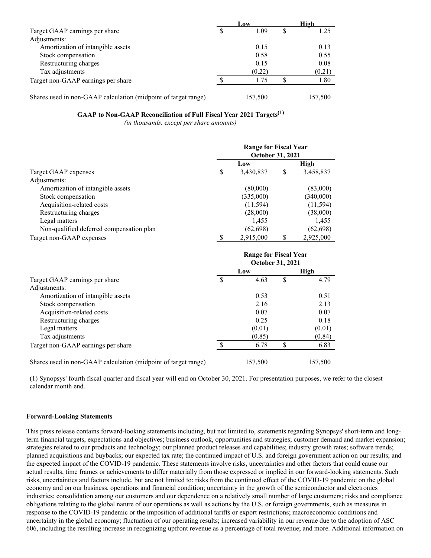|                                                                | 10W     |   | High    |
|----------------------------------------------------------------|---------|---|---------|
| Target GAAP earnings per share                                 | 1.09    | S | 1.25    |
| Adjustments:                                                   |         |   |         |
| Amortization of intangible assets                              | 0.15    |   | 0.13    |
| Stock compensation                                             | 0.58    |   | 0.55    |
| Restructuring charges                                          | 0.15    |   | 0.08    |
| Tax adjustments                                                | (0.22)  |   | (0.21)  |
| Target non-GAAP earnings per share                             | 1.75    | S | 1.80    |
| Shares used in non-GAAP calculation (midpoint of target range) | 157.500 |   | 157.500 |

# **GAAP to Non-GAAP Reconciliation of Full Fiscal Year 2021 Targets (1)**

*(in thousands, except per share amounts)*

|                                          | <b>Range for Fiscal Year</b><br><b>October 31, 2021</b> |           |    |           |  |
|------------------------------------------|---------------------------------------------------------|-----------|----|-----------|--|
|                                          |                                                         | Low       |    | High      |  |
| Target GAAP expenses                     | S                                                       | 3,430,837 | S  | 3,458,837 |  |
| Adjustments:                             |                                                         |           |    |           |  |
| Amortization of intangible assets        |                                                         | (80,000)  |    | (83,000)  |  |
| Stock compensation                       |                                                         | (335,000) |    | (340,000) |  |
| Acquisition-related costs                |                                                         | (11, 594) |    | (11, 594) |  |
| Restructuring charges                    |                                                         | (28,000)  |    | (38,000)  |  |
| Legal matters                            |                                                         | 1,455     |    | 1,455     |  |
| Non-qualified deferred compensation plan |                                                         | (62, 698) |    | (62, 698) |  |
| Target non-GAAP expenses                 | \$                                                      | 2,915,000 | \$ | 2,925,000 |  |

|                                                                | <b>Range for Fiscal Year</b><br><b>October 31, 2021</b> |         |    |         |  |  |
|----------------------------------------------------------------|---------------------------------------------------------|---------|----|---------|--|--|
|                                                                |                                                         | Low     |    | High    |  |  |
| Target GAAP earnings per share                                 | <sup>\$</sup>                                           | 4.63    | \$ | 4.79    |  |  |
| Adjustments:                                                   |                                                         |         |    |         |  |  |
| Amortization of intangible assets                              |                                                         | 0.53    |    | 0.51    |  |  |
| Stock compensation                                             |                                                         | 2.16    |    | 2.13    |  |  |
| Acquisition-related costs                                      |                                                         | 0.07    |    | 0.07    |  |  |
| Restructuring charges                                          |                                                         | 0.25    |    | 0.18    |  |  |
| Legal matters                                                  |                                                         | (0.01)  |    | (0.01)  |  |  |
| Tax adjustments                                                |                                                         | (0.85)  |    | (0.84)  |  |  |
| Target non-GAAP earnings per share                             | ึ                                                       | 6.78    | \$ | 6.83    |  |  |
| Shares used in non-GAAP calculation (midpoint of target range) |                                                         | 157,500 |    | 157.500 |  |  |

(1) Synopsys' fourth fiscal quarter and fiscal year will end on October 30, 2021. For presentation purposes, we refer to the closest calendar month end.

### **Forward-Looking Statements**

This press release contains forward-looking statements including, but not limited to, statements regarding Synopsys' short-term and longterm financial targets, expectations and objectives; business outlook, opportunities and strategies; customer demand and market expansion; strategies related to our products and technology; our planned product releases and capabilities; industry growth rates; software trends; planned acquisitions and buybacks; our expected tax rate; the continued impact of U.S. and foreign government action on our results; and the expected impact of the COVID-19 pandemic. These statements involve risks, uncertainties and other factors that could cause our actual results, time frames or achievements to differ materially from those expressed or implied in our forward-looking statements. Such risks, uncertainties and factors include, but are not limited to: risks from the continued effect of the COVID-19 pandemic on the global economy and on our business, operations and financial condition; uncertainty in the growth of the semiconductor and electronics industries; consolidation among our customers and our dependence on a relatively small number of large customers; risks and compliance obligations relating to the global nature of our operations as well as actions by the U.S. or foreign governments, such as measures in response to the COVID-19 pandemic or the imposition of additional tariffs or export restrictions; macroeconomic conditions and uncertainty in the global economy; fluctuation of our operating results; increased variability in our revenue due to the adoption of ASC 606, including the resulting increase in recognizing upfront revenue as a percentage of total revenue; and more. Additional information on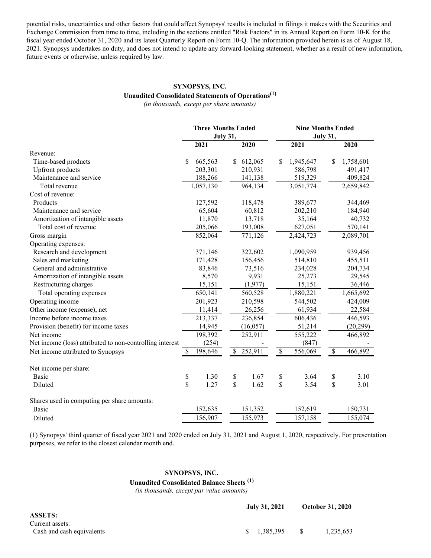potential risks, uncertainties and other factors that could affect Synopsys' results is included in filings it makes with the Securities and Exchange Commission from time to time, including in the sections entitled "Risk Factors" in its Annual Report on Form 10-K for the fiscal year ended October 31, 2020 and its latest Quarterly Report on Form 10-Q. The information provided herein is as of August 18, 2021. Synopsys undertakes no duty, and does not intend to update any forward-looking statement, whether as a result of new information, future events or otherwise, unless required by law.

## **SYNOPSYS, INC.**

## **Unaudited Consolidated Statements of Operations (1)**

*(in thousands, except per share amounts)*

|                                                          | <b>Three Months Ended</b> |           |              |          | <b>Nine Months Ended</b> |           |                 |           |  |
|----------------------------------------------------------|---------------------------|-----------|--------------|----------|--------------------------|-----------|-----------------|-----------|--|
|                                                          | <b>July 31,</b>           |           |              |          |                          |           | <b>July 31,</b> |           |  |
|                                                          |                           | 2021      |              | 2020     |                          | 2021      |                 | 2020      |  |
| Revenue:                                                 |                           |           |              |          |                          |           |                 |           |  |
| Time-based products                                      | \$                        | 665,563   | \$           | 612,065  | \$                       | 1,945,647 | \$              | 1,758,601 |  |
| <b>Upfront</b> products                                  |                           | 203,301   |              | 210,931  |                          | 586,798   |                 | 491,417   |  |
| Maintenance and service                                  |                           | 188,266   |              | 141,138  |                          | 519,329   |                 | 409,824   |  |
| Total revenue                                            |                           | 1,057,130 |              | 964,134  |                          | 3,051,774 |                 | 2,659,842 |  |
| Cost of revenue:                                         |                           |           |              |          |                          |           |                 |           |  |
| Products                                                 |                           | 127,592   |              | 118,478  |                          | 389,677   |                 | 344,469   |  |
| Maintenance and service                                  |                           | 65,604    |              | 60,812   |                          | 202,210   |                 | 184,940   |  |
| Amortization of intangible assets                        |                           | 11,870    |              | 13,718   |                          | 35,164    |                 | 40,732    |  |
| Total cost of revenue                                    |                           | 205,066   |              | 193,008  |                          | 627,051   |                 | 570,141   |  |
| Gross margin                                             |                           | 852,064   |              | 771,126  |                          | 2,424,723 |                 | 2,089,701 |  |
| Operating expenses:                                      |                           |           |              |          |                          |           |                 |           |  |
| Research and development                                 |                           | 371,146   |              | 322,602  |                          | 1,090,959 |                 | 939,456   |  |
| Sales and marketing                                      |                           | 171,428   |              | 156,456  |                          | 514,810   |                 | 455,511   |  |
| General and administrative                               |                           | 83,846    |              | 73,516   |                          | 234,028   |                 | 204,734   |  |
| Amortization of intangible assets                        |                           | 8,570     |              | 9,931    |                          | 25,273    |                 | 29,545    |  |
| Restructuring charges                                    |                           | 15,151    |              | (1,977)  |                          | 15,151    |                 | 36,446    |  |
| Total operating expenses                                 |                           | 650,141   |              | 560,528  |                          | 1,880,221 |                 | 1,665,692 |  |
| Operating income                                         |                           | 201,923   |              | 210,598  |                          | 544,502   |                 | 424,009   |  |
| Other income (expense), net                              |                           | 11,414    |              | 26,256   |                          | 61,934    |                 | 22,584    |  |
| Income before income taxes                               |                           | 213,337   |              | 236,854  |                          | 606,436   |                 | 446,593   |  |
| Provision (benefit) for income taxes                     |                           | 14,945    |              | (16,057) |                          | 51,214    |                 | (20, 299) |  |
| Net income                                               |                           | 198,392   |              | 252,911  |                          | 555,222   |                 | 466,892   |  |
| Net income (loss) attributed to non-controlling interest |                           | (254)     |              |          |                          | (847)     |                 |           |  |
| Net income attributed to Synopsys                        | \$                        | 198,646   | $\mathbb{S}$ | 252,911  | \$                       | 556,069   | $\mathsf{\$}$   | 466,892   |  |
| Net income per share:                                    |                           |           |              |          |                          |           |                 |           |  |
| <b>Basic</b>                                             | \$                        | 1.30      | \$           | 1.67     | \$                       | 3.64      | \$              | 3.10      |  |
| Diluted                                                  | \$                        | 1.27      | \$           | 1.62     | \$                       | 3.54      | \$              | 3.01      |  |
| Shares used in computing per share amounts:              |                           |           |              |          |                          |           |                 |           |  |
| <b>Basic</b>                                             |                           | 152,635   |              | 151,352  |                          | 152,619   |                 | 150,731   |  |
| Diluted                                                  |                           | 156,907   |              | 155,973  |                          | 157,158   |                 | 155,074   |  |

(1) Synopsys' third quarter of fiscal year 2021 and 2020 ended on July 31, 2021 and August 1, 2020, respectively. For presentation purposes, we refer to the closest calendar month end.

# **SYNOPSYS, INC.**

**Unaudited Consolidated Balance Sheets (1)**

*(in thousands, except par value amounts)*

**ASSETS:** Current assets:

## **July 31, 2021 October 31, 2020**

Cash and cash equivalents **6** 1,385,395 \$ 1,235,653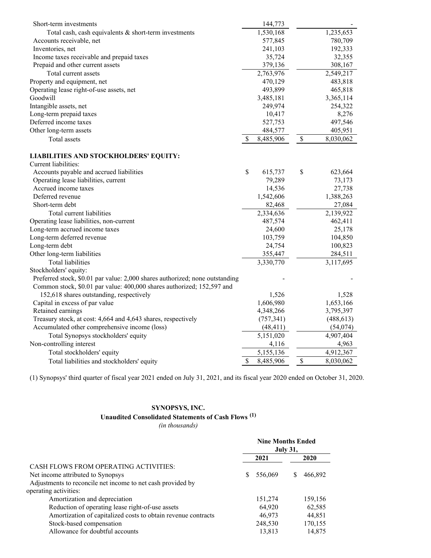| Short-term investments                                                       | 144,773         |              |            |
|------------------------------------------------------------------------------|-----------------|--------------|------------|
| Total cash, cash equivalents & short-term investments                        | 1,530,168       |              | 1,235,653  |
| Accounts receivable, net                                                     | 577,845         |              | 780,709    |
| Inventories, net                                                             | 241,103         |              | 192,333    |
| Income taxes receivable and prepaid taxes                                    | 35,724          |              | 32,355     |
| Prepaid and other current assets                                             | 379,136         |              | 308,167    |
| Total current assets                                                         | 2,763,976       |              | 2,549,217  |
| Property and equipment, net                                                  | 470,129         |              | 483,818    |
| Operating lease right-of-use assets, net                                     | 493,899         |              | 465,818    |
| Goodwill                                                                     | 3,485,181       |              | 3,365,114  |
| Intangible assets, net                                                       | 249,974         |              | 254,322    |
| Long-term prepaid taxes                                                      | 10,417          |              | 8,276      |
| Deferred income taxes                                                        | 527,753         |              | 497,546    |
| Other long-term assets                                                       | 484,577         |              | 405,951    |
| Total assets                                                                 | \$<br>8,485,906 | $\mathbb{S}$ | 8,030,062  |
| LIABILITIES AND STOCKHOLDERS' EQUITY:                                        |                 |              |            |
| Current liabilities:                                                         |                 |              |            |
| Accounts payable and accrued liabilities                                     | \$<br>615,737   | \$           | 623,664    |
| Operating lease liabilities, current                                         | 79,289          |              | 73,173     |
| Accrued income taxes                                                         | 14,536          |              | 27,738     |
| Deferred revenue                                                             | 1,542,606       |              | 1,388,263  |
| Short-term debt                                                              | 82,468          |              | 27,084     |
| Total current liabilities                                                    | 2,334,636       |              | 2,139,922  |
| Operating lease liabilities, non-current                                     | 487,574         |              | 462,411    |
| Long-term accrued income taxes                                               | 24,600          |              | 25,178     |
| Long-term deferred revenue                                                   | 103,759         |              | 104,850    |
| Long-term debt                                                               | 24,754          |              | 100,823    |
| Other long-term liabilities                                                  | 355,447         |              | 284,511    |
| <b>Total liabilities</b>                                                     | 3,330,770       |              | 3,117,695  |
| Stockholders' equity:                                                        |                 |              |            |
| Preferred stock, \$0.01 par value: 2,000 shares authorized; none outstanding |                 |              |            |
| Common stock, \$0.01 par value: 400,000 shares authorized; 152,597 and       |                 |              |            |
| 152,618 shares outstanding, respectively                                     | 1,526           |              | 1,528      |
| Capital in excess of par value                                               | 1,606,980       |              | 1,653,166  |
| Retained earnings                                                            | 4,348,266       |              | 3,795,397  |
| Treasury stock, at cost: 4,664 and 4,643 shares, respectively                | (757, 341)      |              | (488, 613) |
| Accumulated other comprehensive income (loss)                                | (48, 411)       |              | (54,074)   |
| Total Synopsys stockholders' equity                                          | 5,151,020       |              | 4,907,404  |
| Non-controlling interest                                                     | 4,116           |              | 4,963      |
| Total stockholders' equity                                                   | 5,155,136       |              | 4,912,367  |
| Total liabilities and stockholders' equity                                   | \$<br>8,485,906 | \$           | 8,030,062  |

(1) Synopsys' third quarter of fiscal year 2021 ended on July 31, 2021, and its fiscal year 2020 ended on October 31, 2020.

# **SYNOPSYS, INC.**

## **Unaudited Consolidated Statements of Cash Flows (1)**

*(in thousands)*

|                                                               | <b>Nine Months Ended</b><br><b>July 31,</b> |         |  |         |
|---------------------------------------------------------------|---------------------------------------------|---------|--|---------|
|                                                               | 2021                                        |         |  | 2020    |
| CASH FLOWS FROM OPERATING ACTIVITIES:                         |                                             |         |  |         |
| Net income attributed to Synopsys                             | S.                                          | 556,069 |  | 466,892 |
| Adjustments to reconcile net income to net cash provided by   |                                             |         |  |         |
| operating activities:                                         |                                             |         |  |         |
| Amortization and depreciation                                 |                                             | 151,274 |  | 159,156 |
| Reduction of operating lease right-of-use assets              |                                             | 64,920  |  | 62,585  |
| Amortization of capitalized costs to obtain revenue contracts |                                             | 46,973  |  | 44,851  |
| Stock-based compensation                                      |                                             | 248,530 |  | 170,155 |
| Allowance for doubtful accounts                               |                                             | 13.813  |  | 14,875  |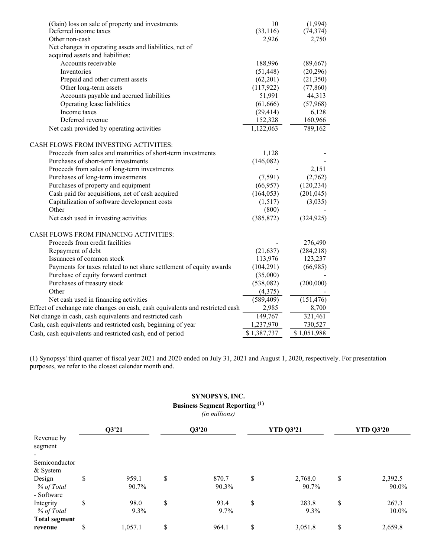| (Gain) loss on sale of property and investments<br>Deferred income taxes      | 10<br>(33, 116) | (1,994)<br>(74, 374) |
|-------------------------------------------------------------------------------|-----------------|----------------------|
| Other non-cash                                                                | 2,926           | 2,750                |
| Net changes in operating assets and liabilities, net of                       |                 |                      |
| acquired assets and liabilities:                                              |                 |                      |
| Accounts receivable                                                           | 188,996         | (89,667)             |
| Inventories                                                                   | (51, 448)       | (20, 296)            |
| Prepaid and other current assets                                              | (62,201)        | (21,350)             |
| Other long-term assets                                                        | (117, 922)      | (77, 860)            |
| Accounts payable and accrued liabilities                                      | 51,991          | 44,313               |
| Operating lease liabilities                                                   | (61, 666)       | (57,968)             |
| Income taxes                                                                  | (29, 414)       | 6,128                |
| Deferred revenue                                                              | 152,328         | 160,966              |
| Net cash provided by operating activities                                     | 1,122,063       | 789,162              |
| CASH FLOWS FROM INVESTING ACTIVITIES:                                         |                 |                      |
| Proceeds from sales and maturities of short-term investments                  | 1,128           |                      |
| Purchases of short-term investments                                           | (146,082)       |                      |
| Proceeds from sales of long-term investments                                  |                 | 2,151                |
| Purchases of long-term investments                                            | (7,591)         | (2,762)              |
| Purchases of property and equipment                                           | (66,957)        | (120, 234)           |
| Cash paid for acquisitions, net of cash acquired                              | (164, 053)      | (201, 045)           |
| Capitalization of software development costs                                  | (1,517)         | (3,035)              |
| Other                                                                         | (800)           |                      |
| Net cash used in investing activities                                         | (385, 872)      | (324, 925)           |
| CASH FLOWS FROM FINANCING ACTIVITIES:                                         |                 |                      |
| Proceeds from credit facilities                                               |                 | 276,490              |
| Repayment of debt                                                             | (21, 637)       | (284, 218)           |
| Issuances of common stock                                                     | 113,976         | 123,237              |
| Payments for taxes related to net share settlement of equity awards           | (104, 291)      | (66,985)             |
| Purchase of equity forward contract                                           | (35,000)        |                      |
| Purchases of treasury stock                                                   | (538,082)       | (200,000)            |
| Other                                                                         | (4,375)         |                      |
| Net cash used in financing activities                                         | (589, 409)      | (151, 476)           |
| Effect of exchange rate changes on cash, cash equivalents and restricted cash | 2,985           | 8,700                |
| Net change in cash, cash equivalents and restricted cash                      | 149,767         | 321,461              |
| Cash, cash equivalents and restricted cash, beginning of year                 | 1,237,970       | 730,527              |
| Cash, cash equivalents and restricted cash, end of period                     | \$1,387,737     | \$1,051,988          |

(1) Synopsys' third quarter of fiscal year 2021 and 2020 ended on July 31, 2021 and August 1, 2020, respectively. For presentation purposes, we refer to the closest calendar month end.

# **SYNOPSYS, INC.**

**Business Segment Reporting (1)**

*(in millions)*

|                                    | Q3'21  |                 | Q3'20 |                 | <b>YTD Q3'21</b> |                  | <b>YTD Q3'20</b> |                   |
|------------------------------------|--------|-----------------|-------|-----------------|------------------|------------------|------------------|-------------------|
| Revenue by<br>segment              |        |                 |       |                 |                  |                  |                  |                   |
| Semiconductor<br>& System          |        |                 |       |                 |                  |                  |                  |                   |
| Design<br>% of Total<br>- Software | \$     | 959.1<br>90.7%  | \$    | 870.7<br>90.3%  | \$               | 2,768.0<br>90.7% | \$               | 2,392.5<br>90.0%  |
| Integrity<br>% of Total            | \$     | 98.0<br>$9.3\%$ | \$    | 93.4<br>$9.7\%$ | \$               | 283.8<br>$9.3\%$ | \$               | 267.3<br>$10.0\%$ |
| <b>Total segment</b><br>revenue    | ¢<br>Φ | 1,057.1         | \$    | 964.1           | \$               | 3,051.8          | \$               | 2,659.8           |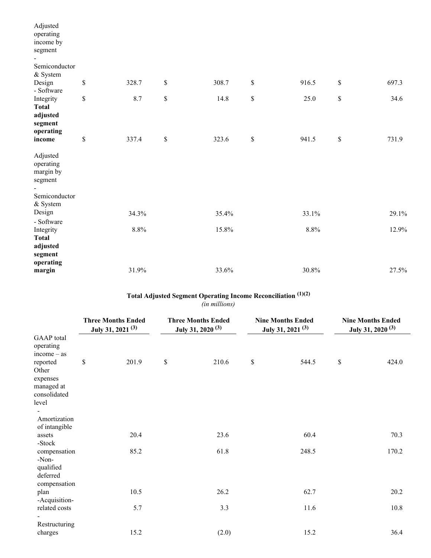| Adjusted<br>operating<br>income by<br>segment                 |                                                                       |         |             |             |             |
|---------------------------------------------------------------|-----------------------------------------------------------------------|---------|-------------|-------------|-------------|
| Semiconductor                                                 |                                                                       |         |             |             |             |
| & System<br>Design<br>- Software                              | \$                                                                    | 328.7   | \$<br>308.7 | \$<br>916.5 | \$<br>697.3 |
| Integrity<br><b>Total</b><br>adjusted<br>segment<br>operating | \$                                                                    | 8.7     | \$<br>14.8  | \$<br>25.0  | \$<br>34.6  |
| income                                                        | $\mathbb{S}% _{t}\left( t\right) \equiv\mathbb{S}_{t}\left( t\right)$ | 337.4   | \$<br>323.6 | \$<br>941.5 | \$<br>731.9 |
| Adjusted<br>operating<br>margin by<br>segment                 |                                                                       |         |             |             |             |
| Semiconductor<br>& System                                     |                                                                       |         |             |             |             |
| Design                                                        |                                                                       | 34.3%   | 35.4%       | 33.1%       | 29.1%       |
| - Software<br>Integrity<br><b>Total</b><br>adjusted           |                                                                       | $8.8\%$ | 15.8%       | $8.8\%$     | 12.9%       |
| segment<br>operating<br>margin                                |                                                                       | 31.9%   | 33.6%       | 30.8%       | 27.5%       |

# **Total Adjusted Segment Operating Income Reconciliation (1)(2)** *(in millions)*

|                                                                      | <b>Three Months Ended</b><br>July 31, 2021 <sup>(3)</sup> |       | <b>Three Months Ended</b><br>July 31, 2020 <sup>(3)</sup> |       | <b>Nine Months Ended</b><br>July 31, 2021 <sup>(3)</sup> |       | <b>Nine Months Ended</b><br>July 31, 2020 <sup>(3)</sup> |       |
|----------------------------------------------------------------------|-----------------------------------------------------------|-------|-----------------------------------------------------------|-------|----------------------------------------------------------|-------|----------------------------------------------------------|-------|
| <b>GAAP</b> total<br>operating<br>$income - as$                      |                                                           |       |                                                           |       |                                                          |       |                                                          |       |
| reported<br>Other<br>expenses<br>managed at<br>consolidated<br>level | \$                                                        | 201.9 | \$                                                        | 210.6 | \$                                                       | 544.5 | \$                                                       | 424.0 |
| Amortization                                                         |                                                           |       |                                                           |       |                                                          |       |                                                          |       |
| of intangible                                                        |                                                           |       |                                                           |       |                                                          |       |                                                          |       |
| assets<br>-Stock                                                     |                                                           | 20.4  |                                                           | 23.6  |                                                          | 60.4  |                                                          | 70.3  |
| compensation<br>-Non-<br>qualified<br>deferred<br>compensation       |                                                           | 85.2  |                                                           | 61.8  |                                                          | 248.5 |                                                          | 170.2 |
| plan<br>-Acquisition-                                                |                                                           | 10.5  |                                                           | 26.2  |                                                          | 62.7  |                                                          | 20.2  |
| related costs                                                        |                                                           | 5.7   |                                                           | 3.3   |                                                          | 11.6  |                                                          | 10.8  |
| Restructuring<br>charges                                             |                                                           | 15.2  |                                                           | (2.0) |                                                          | 15.2  |                                                          | 36.4  |